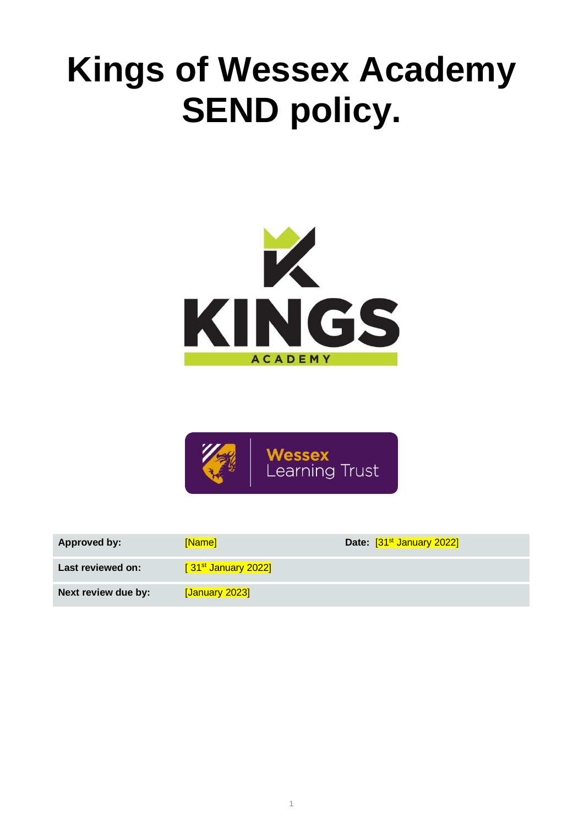# **Kings of Wessex Academy SEND policy.**





| <b>Approved by:</b> | [Name]                | Date: [31 <sup>st</sup> January 2022] |
|---------------------|-----------------------|---------------------------------------|
| Last reviewed on:   | $[31st$ January 2022] |                                       |
| Next review due by: | [January 2023]        |                                       |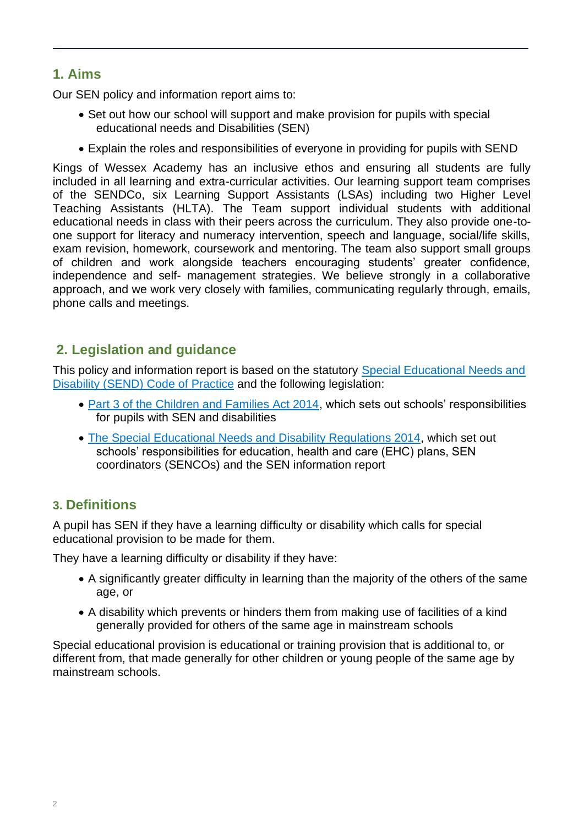## **1. Aims**

Our SEN policy and information report aims to:

- Set out how our school will support and make provision for pupils with special educational needs and Disabilities (SEN)
- Explain the roles and responsibilities of everyone in providing for pupils with SEND

Kings of Wessex Academy has an inclusive ethos and ensuring all students are fully included in all learning and extra-curricular activities. Our learning support team comprises of the SENDCo, six Learning Support Assistants (LSAs) including two Higher Level Teaching Assistants (HLTA). The Team support individual students with additional educational needs in class with their peers across the curriculum. They also provide one-toone support for literacy and numeracy intervention, speech and language, social/life skills, exam revision, homework, coursework and mentoring. The team also support small groups of children and work alongside teachers encouraging students' greater confidence, independence and self- management strategies. We believe strongly in a collaborative approach, and we work very closely with families, communicating regularly through, emails, phone calls and meetings.

## **2. Legislation and guidance**

This policy and information report is based on the statutory Special Educational Needs and [Disability \(SEND\) Code of Practice](https://www.gov.uk/government/uploads/system/uploads/attachment_data/file/398815/SEND_Code_of_Practice_January_2015.pdf) and the following legislation:

- [Part 3 of the Children and Families Act 2014,](http://www.legislation.gov.uk/ukpga/2014/6/part/3) which sets out schools' responsibilities for pupils with SEN and disabilities
- [The Special Educational Needs and Disability Regulations 2014,](http://www.legislation.gov.uk/uksi/2014/1530/contents/made) which set out schools' responsibilities for education, health and care (EHC) plans, SEN coordinators (SENCOs) and the SEN information report

## **3. Definitions**

A pupil has SEN if they have a learning difficulty or disability which calls for special educational provision to be made for them.

They have a learning difficulty or disability if they have:

- A significantly greater difficulty in learning than the majority of the others of the same age, or
- A disability which prevents or hinders them from making use of facilities of a kind generally provided for others of the same age in mainstream schools

Special educational provision is educational or training provision that is additional to, or different from, that made generally for other children or young people of the same age by mainstream schools.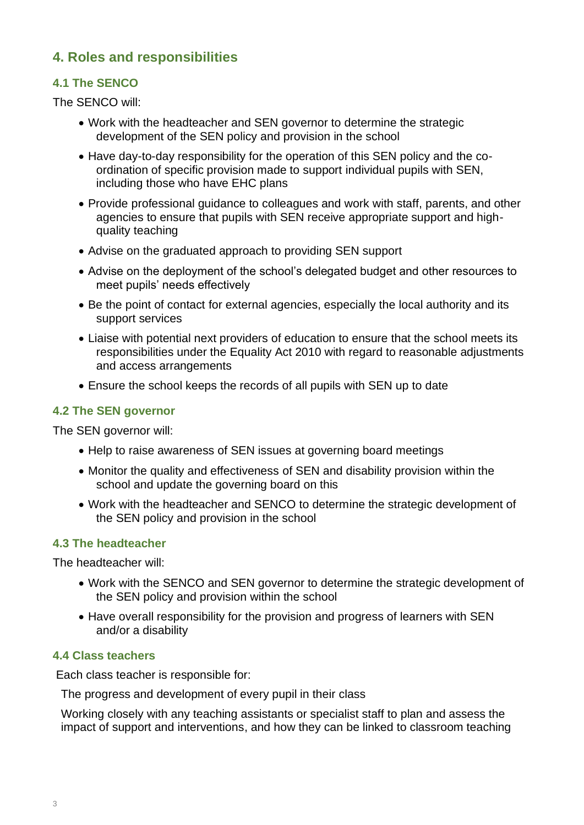## **4. Roles and responsibilities**

### **4.1 The SENCO**

The SENCO will:

- Work with the headteacher and SEN governor to determine the strategic development of the SEN policy and provision in the school
- Have day-to-day responsibility for the operation of this SEN policy and the coordination of specific provision made to support individual pupils with SEN, including those who have EHC plans
- Provide professional guidance to colleagues and work with staff, parents, and other agencies to ensure that pupils with SEN receive appropriate support and highquality teaching
- Advise on the graduated approach to providing SEN support
- Advise on the deployment of the school's delegated budget and other resources to meet pupils' needs effectively
- Be the point of contact for external agencies, especially the local authority and its support services
- Liaise with potential next providers of education to ensure that the school meets its responsibilities under the Equality Act 2010 with regard to reasonable adjustments and access arrangements
- Ensure the school keeps the records of all pupils with SEN up to date

#### **4.2 The SEN governor**

The SEN governor will:

- Help to raise awareness of SEN issues at governing board meetings
- Monitor the quality and effectiveness of SEN and disability provision within the school and update the governing board on this
- Work with the headteacher and SENCO to determine the strategic development of the SEN policy and provision in the school

### **4.3 The headteacher**

The headteacher will:

- Work with the SENCO and SEN governor to determine the strategic development of the SEN policy and provision within the school
- Have overall responsibility for the provision and progress of learners with SEN and/or a disability

### **4.4 Class teachers**

Each class teacher is responsible for:

The progress and development of every pupil in their class

Working closely with any teaching assistants or specialist staff to plan and assess the impact of support and interventions, and how they can be linked to classroom teaching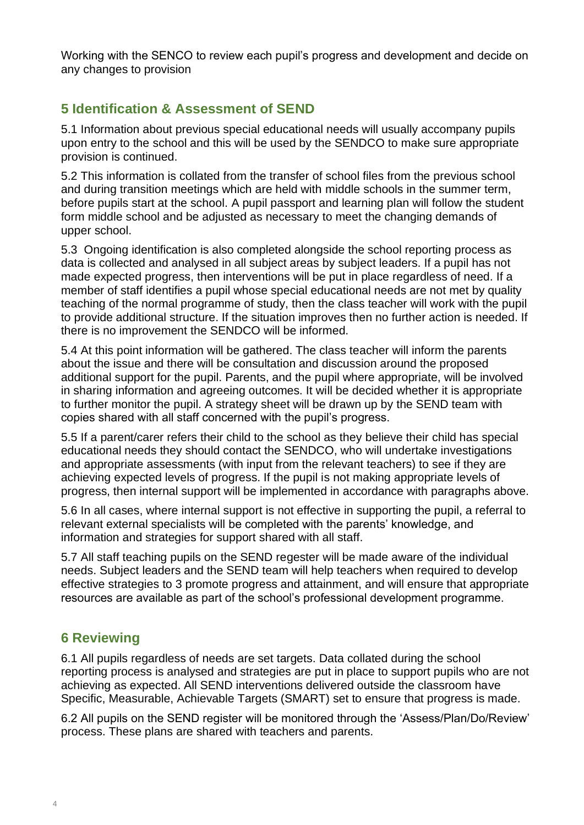Working with the SENCO to review each pupil's progress and development and decide on any changes to provision

# **5 Identification & Assessment of SEND**

5.1 Information about previous special educational needs will usually accompany pupils upon entry to the school and this will be used by the SENDCO to make sure appropriate provision is continued.

5.2 This information is collated from the transfer of school files from the previous school and during transition meetings which are held with middle schools in the summer term, before pupils start at the school. A pupil passport and learning plan will follow the student form middle school and be adjusted as necessary to meet the changing demands of upper school.

5.3 Ongoing identification is also completed alongside the school reporting process as data is collected and analysed in all subject areas by subject leaders. If a pupil has not made expected progress, then interventions will be put in place regardless of need. If a member of staff identifies a pupil whose special educational needs are not met by quality teaching of the normal programme of study, then the class teacher will work with the pupil to provide additional structure. If the situation improves then no further action is needed. If there is no improvement the SENDCO will be informed.

5.4 At this point information will be gathered. The class teacher will inform the parents about the issue and there will be consultation and discussion around the proposed additional support for the pupil. Parents, and the pupil where appropriate, will be involved in sharing information and agreeing outcomes. It will be decided whether it is appropriate to further monitor the pupil. A strategy sheet will be drawn up by the SEND team with copies shared with all staff concerned with the pupil's progress.

5.5 If a parent/carer refers their child to the school as they believe their child has special educational needs they should contact the SENDCO, who will undertake investigations and appropriate assessments (with input from the relevant teachers) to see if they are achieving expected levels of progress. If the pupil is not making appropriate levels of progress, then internal support will be implemented in accordance with paragraphs above.

5.6 In all cases, where internal support is not effective in supporting the pupil, a referral to relevant external specialists will be completed with the parents' knowledge, and information and strategies for support shared with all staff.

5.7 All staff teaching pupils on the SEND regester will be made aware of the individual needs. Subject leaders and the SEND team will help teachers when required to develop effective strategies to 3 promote progress and attainment, and will ensure that appropriate resources are available as part of the school's professional development programme.

## **6 Reviewing**

6.1 All pupils regardless of needs are set targets. Data collated during the school reporting process is analysed and strategies are put in place to support pupils who are not achieving as expected. All SEND interventions delivered outside the classroom have Specific, Measurable, Achievable Targets (SMART) set to ensure that progress is made.

6.2 All pupils on the SEND register will be monitored through the 'Assess/Plan/Do/Review' process. These plans are shared with teachers and parents.